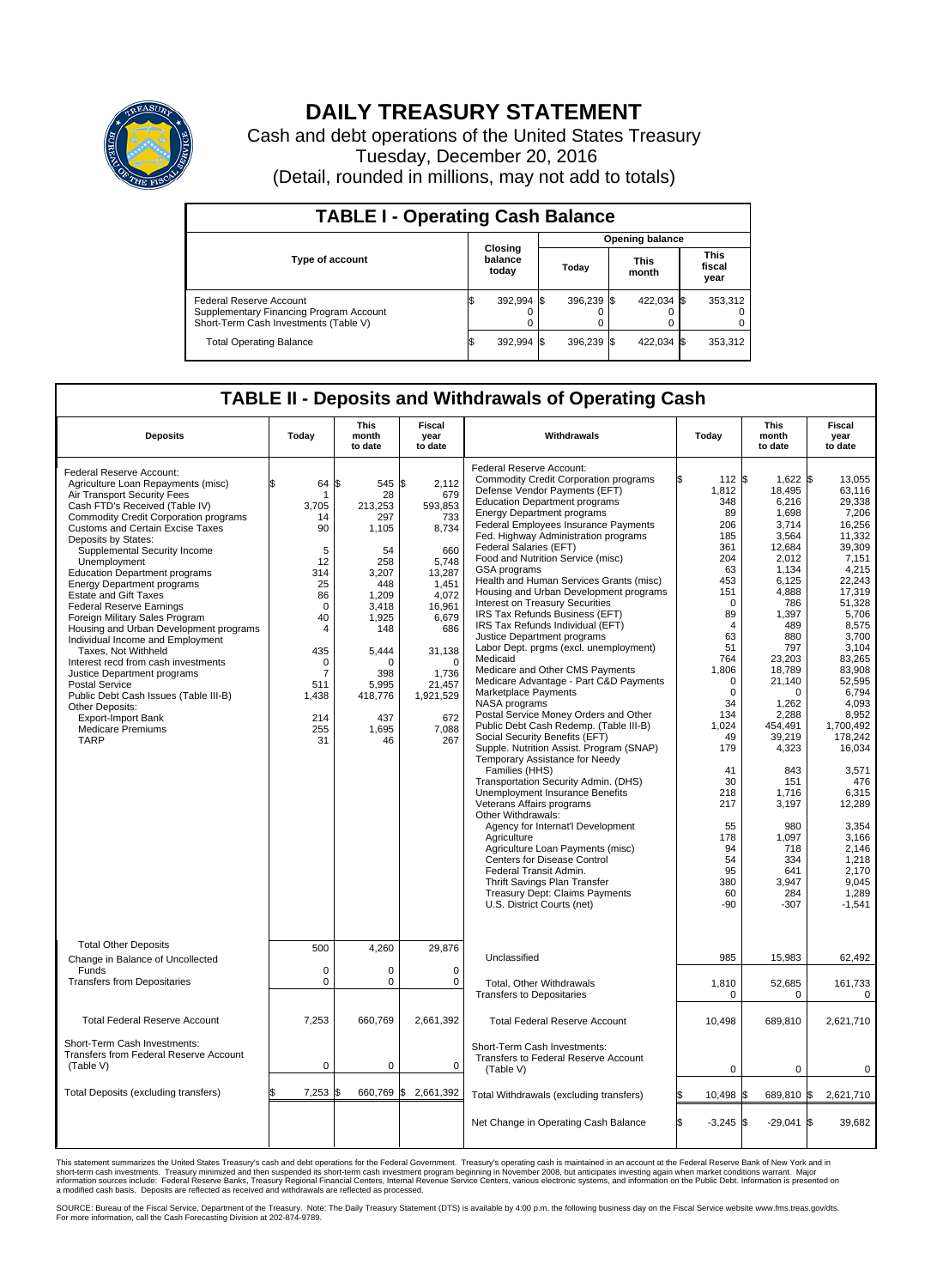

## **DAILY TREASURY STATEMENT**

Cash and debt operations of the United States Treasury Tuesday, December 20, 2016 (Detail, rounded in millions, may not add to totals)

| <b>TABLE I - Operating Cash Balance</b>                                                                     |                             |            |                        |            |                      |            |  |                               |  |  |
|-------------------------------------------------------------------------------------------------------------|-----------------------------|------------|------------------------|------------|----------------------|------------|--|-------------------------------|--|--|
|                                                                                                             | Closing<br>balance<br>today |            | <b>Opening balance</b> |            |                      |            |  |                               |  |  |
| <b>Type of account</b>                                                                                      |                             |            | Todav                  |            | <b>This</b><br>month |            |  | <b>This</b><br>fiscal<br>year |  |  |
| Federal Reserve Account<br>Supplementary Financing Program Account<br>Short-Term Cash Investments (Table V) |                             | 392,994 \$ |                        | 396.239 \$ |                      | 422.034 \$ |  | 353,312                       |  |  |
| <b>Total Operating Balance</b>                                                                              |                             | 392,994 \$ |                        | 396,239 \$ |                      | 422,034 \$ |  | 353,312                       |  |  |

## **TABLE II - Deposits and Withdrawals of Operating Cash**

| <b>Deposits</b>                                                                                                                                                                                                                                                                                                                                                                                                                                                                                                                                                                                                                                                                                                                                                                                                      | Today                                                                                                                                                                   | <b>This</b><br>month<br>to date                                                                                                                                             | <b>Fiscal</b><br>year<br>to date                                                                                                                                                           | Withdrawals                                                                                                                                                                                                                                                                                                                                                                                                                                                                                                                                                                                                                                                                                                                                                                                                                                                                                                                                                                                                                                                                                                                                                                                                                                                                                                                                                                      | Today                                                                                                                                                                                                                                                                                   | <b>This</b><br>month<br>to date                                                                                                                                                                                                                                                                                               | Fiscal<br>year<br>to date                                                                                                                                                                                                                                                                                                                                      |
|----------------------------------------------------------------------------------------------------------------------------------------------------------------------------------------------------------------------------------------------------------------------------------------------------------------------------------------------------------------------------------------------------------------------------------------------------------------------------------------------------------------------------------------------------------------------------------------------------------------------------------------------------------------------------------------------------------------------------------------------------------------------------------------------------------------------|-------------------------------------------------------------------------------------------------------------------------------------------------------------------------|-----------------------------------------------------------------------------------------------------------------------------------------------------------------------------|--------------------------------------------------------------------------------------------------------------------------------------------------------------------------------------------|----------------------------------------------------------------------------------------------------------------------------------------------------------------------------------------------------------------------------------------------------------------------------------------------------------------------------------------------------------------------------------------------------------------------------------------------------------------------------------------------------------------------------------------------------------------------------------------------------------------------------------------------------------------------------------------------------------------------------------------------------------------------------------------------------------------------------------------------------------------------------------------------------------------------------------------------------------------------------------------------------------------------------------------------------------------------------------------------------------------------------------------------------------------------------------------------------------------------------------------------------------------------------------------------------------------------------------------------------------------------------------|-----------------------------------------------------------------------------------------------------------------------------------------------------------------------------------------------------------------------------------------------------------------------------------------|-------------------------------------------------------------------------------------------------------------------------------------------------------------------------------------------------------------------------------------------------------------------------------------------------------------------------------|----------------------------------------------------------------------------------------------------------------------------------------------------------------------------------------------------------------------------------------------------------------------------------------------------------------------------------------------------------------|
| Federal Reserve Account:<br>Agriculture Loan Repayments (misc)<br>Air Transport Security Fees<br>Cash FTD's Received (Table IV)<br><b>Commodity Credit Corporation programs</b><br><b>Customs and Certain Excise Taxes</b><br>Deposits by States:<br>Supplemental Security Income<br>Unemployment<br><b>Education Department programs</b><br><b>Energy Department programs</b><br><b>Estate and Gift Taxes</b><br><b>Federal Reserve Earnings</b><br>Foreign Military Sales Program<br>Housing and Urban Development programs<br>Individual Income and Employment<br>Taxes. Not Withheld<br>Interest recd from cash investments<br>Justice Department programs<br><b>Postal Service</b><br>Public Debt Cash Issues (Table III-B)<br>Other Deposits:<br>Export-Import Bank<br><b>Medicare Premiums</b><br><b>TARP</b> | 64<br>\$<br>-1<br>3.705<br>14<br>90<br>5<br>12<br>314<br>25<br>86<br>$\mathbf 0$<br>40<br>4<br>435<br>$\mathbf 0$<br>$\overline{7}$<br>511<br>1,438<br>214<br>255<br>31 | \$<br>545 \$<br>28<br>213.253<br>297<br>1,105<br>54<br>258<br>3,207<br>448<br>1,209<br>3,418<br>1,925<br>148<br>5,444<br>O<br>398<br>5,995<br>418,776<br>437<br>1,695<br>46 | 2,112<br>679<br>593,853<br>733<br>8,734<br>660<br>5,748<br>13,287<br>1.451<br>4,072<br>16,961<br>6,679<br>686<br>31,138<br>$\Omega$<br>1,736<br>21,457<br>1,921,529<br>672<br>7,088<br>267 | Federal Reserve Account:<br><b>Commodity Credit Corporation programs</b><br>Defense Vendor Payments (EFT)<br><b>Education Department programs</b><br><b>Energy Department programs</b><br><b>Federal Employees Insurance Payments</b><br>Fed. Highway Administration programs<br>Federal Salaries (EFT)<br>Food and Nutrition Service (misc)<br>GSA programs<br>Health and Human Services Grants (misc)<br>Housing and Urban Development programs<br>Interest on Treasury Securities<br>IRS Tax Refunds Business (EFT)<br>IRS Tax Refunds Individual (EFT)<br>Justice Department programs<br>Labor Dept. prgms (excl. unemployment)<br>Medicaid<br>Medicare and Other CMS Payments<br>Medicare Advantage - Part C&D Payments<br>Marketplace Payments<br>NASA programs<br>Postal Service Money Orders and Other<br>Public Debt Cash Redemp. (Table III-B)<br>Social Security Benefits (EFT)<br>Supple. Nutrition Assist. Program (SNAP)<br>Temporary Assistance for Needy<br>Families (HHS)<br>Transportation Security Admin. (DHS)<br>Unemployment Insurance Benefits<br>Veterans Affairs programs<br>Other Withdrawals:<br>Agency for Internat'l Development<br>Agriculture<br>Agriculture Loan Payments (misc)<br>Centers for Disease Control<br>Federal Transit Admin.<br>Thrift Savings Plan Transfer<br><b>Treasury Dept: Claims Payments</b><br>U.S. District Courts (net) | 112 \$<br>1,812<br>348<br>89<br>206<br>185<br>361<br>204<br>63<br>453<br>151<br>$\Omega$<br>89<br>$\overline{4}$<br>63<br>51<br>764<br>1,806<br>$\Omega$<br>$\mathbf 0$<br>34<br>134<br>1,024<br>49<br>179<br>41<br>30<br>218<br>217<br>55<br>178<br>94<br>54<br>95<br>380<br>60<br>-90 | $1.622$ \$<br>18,495<br>6,216<br>1,698<br>3,714<br>3,564<br>12,684<br>2.012<br>1,134<br>6,125<br>4,888<br>786<br>1,397<br>489<br>880<br>797<br>23,203<br>18,789<br>21,140<br>0<br>1,262<br>2,288<br>454,491<br>39,219<br>4,323<br>843<br>151<br>1.716<br>3,197<br>980<br>1,097<br>718<br>334<br>641<br>3,947<br>284<br>$-307$ | 13.055<br>63.116<br>29,338<br>7,206<br>16,256<br>11,332<br>39,309<br>7,151<br>4,215<br>22,243<br>17,319<br>51,328<br>5,706<br>8,575<br>3.700<br>3,104<br>83.265<br>83,908<br>52.595<br>6,794<br>4.093<br>8,952<br>1,700,492<br>178,242<br>16,034<br>3,571<br>476<br>6,315<br>12,289<br>3,354<br>3,166<br>2,146<br>1,218<br>2.170<br>9,045<br>1,289<br>$-1,541$ |
| <b>Total Other Deposits</b><br>Change in Balance of Uncollected                                                                                                                                                                                                                                                                                                                                                                                                                                                                                                                                                                                                                                                                                                                                                      | 500                                                                                                                                                                     | 4,260                                                                                                                                                                       | 29,876                                                                                                                                                                                     | Unclassified                                                                                                                                                                                                                                                                                                                                                                                                                                                                                                                                                                                                                                                                                                                                                                                                                                                                                                                                                                                                                                                                                                                                                                                                                                                                                                                                                                     | 985                                                                                                                                                                                                                                                                                     | 15,983                                                                                                                                                                                                                                                                                                                        | 62,492                                                                                                                                                                                                                                                                                                                                                         |
| Funds<br><b>Transfers from Depositaries</b>                                                                                                                                                                                                                                                                                                                                                                                                                                                                                                                                                                                                                                                                                                                                                                          | $\mathbf 0$<br>$\mathbf 0$                                                                                                                                              | 0<br>0                                                                                                                                                                      | 0<br>$\mathbf 0$                                                                                                                                                                           | Total, Other Withdrawals<br><b>Transfers to Depositaries</b>                                                                                                                                                                                                                                                                                                                                                                                                                                                                                                                                                                                                                                                                                                                                                                                                                                                                                                                                                                                                                                                                                                                                                                                                                                                                                                                     | 1,810<br>0                                                                                                                                                                                                                                                                              | 52,685<br>0                                                                                                                                                                                                                                                                                                                   | 161,733<br>0                                                                                                                                                                                                                                                                                                                                                   |
| <b>Total Federal Reserve Account</b>                                                                                                                                                                                                                                                                                                                                                                                                                                                                                                                                                                                                                                                                                                                                                                                 | 7,253                                                                                                                                                                   | 660,769                                                                                                                                                                     | 2,661,392                                                                                                                                                                                  | <b>Total Federal Reserve Account</b>                                                                                                                                                                                                                                                                                                                                                                                                                                                                                                                                                                                                                                                                                                                                                                                                                                                                                                                                                                                                                                                                                                                                                                                                                                                                                                                                             | 10,498                                                                                                                                                                                                                                                                                  | 689,810                                                                                                                                                                                                                                                                                                                       | 2,621,710                                                                                                                                                                                                                                                                                                                                                      |
| Short-Term Cash Investments:<br>Transfers from Federal Reserve Account<br>(Table V)                                                                                                                                                                                                                                                                                                                                                                                                                                                                                                                                                                                                                                                                                                                                  | $\pmb{0}$                                                                                                                                                               | 0                                                                                                                                                                           | 0                                                                                                                                                                                          | Short-Term Cash Investments:<br>Transfers to Federal Reserve Account<br>(Table V)                                                                                                                                                                                                                                                                                                                                                                                                                                                                                                                                                                                                                                                                                                                                                                                                                                                                                                                                                                                                                                                                                                                                                                                                                                                                                                | $\mathbf 0$                                                                                                                                                                                                                                                                             | $\mathbf 0$                                                                                                                                                                                                                                                                                                                   | 0                                                                                                                                                                                                                                                                                                                                                              |
| Total Deposits (excluding transfers)                                                                                                                                                                                                                                                                                                                                                                                                                                                                                                                                                                                                                                                                                                                                                                                 | 7,253<br>\$                                                                                                                                                             | 660,769 \$<br>\$                                                                                                                                                            | 2,661,392                                                                                                                                                                                  | Total Withdrawals (excluding transfers)                                                                                                                                                                                                                                                                                                                                                                                                                                                                                                                                                                                                                                                                                                                                                                                                                                                                                                                                                                                                                                                                                                                                                                                                                                                                                                                                          | 10,498 \$                                                                                                                                                                                                                                                                               | 689,810 \$                                                                                                                                                                                                                                                                                                                    | 2,621,710                                                                                                                                                                                                                                                                                                                                                      |
|                                                                                                                                                                                                                                                                                                                                                                                                                                                                                                                                                                                                                                                                                                                                                                                                                      |                                                                                                                                                                         |                                                                                                                                                                             |                                                                                                                                                                                            | Net Change in Operating Cash Balance                                                                                                                                                                                                                                                                                                                                                                                                                                                                                                                                                                                                                                                                                                                                                                                                                                                                                                                                                                                                                                                                                                                                                                                                                                                                                                                                             | Ŝ.<br>$-3,245$ \$                                                                                                                                                                                                                                                                       | $-29,041$ \$                                                                                                                                                                                                                                                                                                                  | 39.682                                                                                                                                                                                                                                                                                                                                                         |

This statement summarizes the United States Treasury's cash and debt operations for the Federal Government. Treasury's operating cash is maintained in an account at the Federal Reserve Bank of New York and in<br>short-term ca

SOURCE: Bureau of the Fiscal Service, Department of the Treasury. Note: The Daily Treasury Statement (DTS) is available by 4:00 p.m. the following business day on the Fiscal Service website www.fms.treas.gov/dts.<br>For more